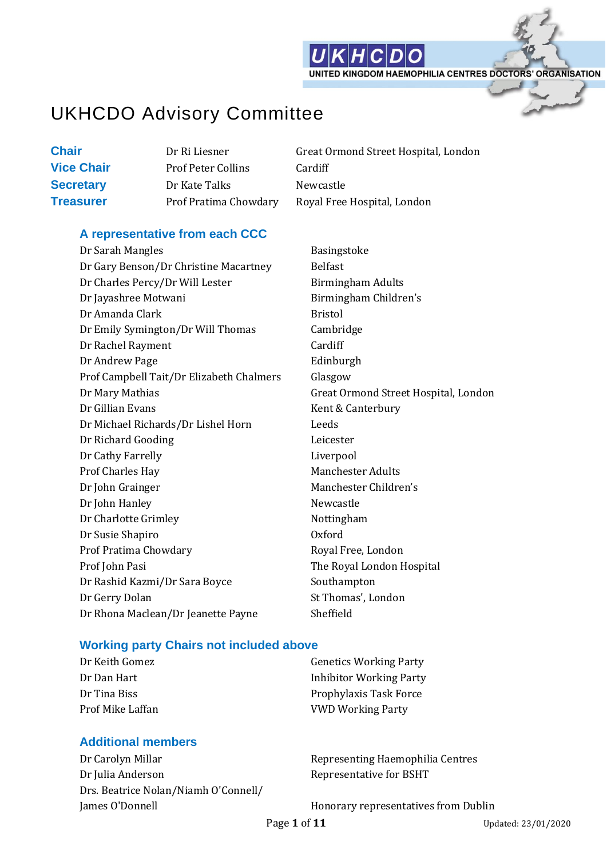

UNITED KINGDOM HAEMOPHILIA CENTRES DOCTORS' ORGANISATION

## UKHCDO Advisory Committee

**Vice Chair** Prof Peter Collins Cardiff **Secretary** Dr Kate Talks Newcastle

**Chair Dr Ri Liesner** Great Ormond Street Hospital, London **Treasurer** Prof Pratima Chowdary Royal Free Hospital, London

#### **A representative from each CCC**

Dr Sarah Mangles Basingstoke Dr Gary Benson/Dr Christine Macartney Belfast Dr Charles Percy/Dr Will Lester Birmingham Adults Dr Jayashree Motwani **Birmingham Children's** Dr Amanda Clark Bristol Dr Emily Symington/Dr Will Thomas Cambridge Dr Rachel Rayment Cardiff Dr Andrew Page Edinburgh Prof Campbell Tait/Dr Elizabeth Chalmers Glasgow Dr Mary Mathias Great Ormond Street Hospital, London Dr Gillian Evans Kent & Canterbury Dr Michael Richards/Dr Lishel Horn Leeds Dr Richard Gooding Leicester Dr Cathy Farrelly **Liverpool** Prof Charles Hay Manchester Adults Dr John Grainger Manchester Children's Dr John Hanley Newcastle Dr Charlotte Grimley Nottingham Dr Susie Shapiro Oxford Prof Pratima Chowdary **Royal Free**, London Prof John Pasi **The Royal London Hospital** Dr Rashid Kazmi/Dr Sara Boyce Southampton Dr Gerry Dolan St Thomas', London Dr Rhona Maclean/Dr Jeanette Payne Sheffield

#### **Working party Chairs not included above**

#### **Additional members**

Dr Carolyn Millar Representing Haemophilia Centres Dr Julia Anderson **Representative for BSHT** Drs. Beatrice Nolan/Niamh O'Connell/

Dr Keith Gomez Genetics Working Party Dr Dan Hart **Inhibitor Working Party** Dr Tina Biss **Prophylaxis Task Force** Prof Mike Laffan VWD Working Party

James O'Donnell Honorary representatives from Dublin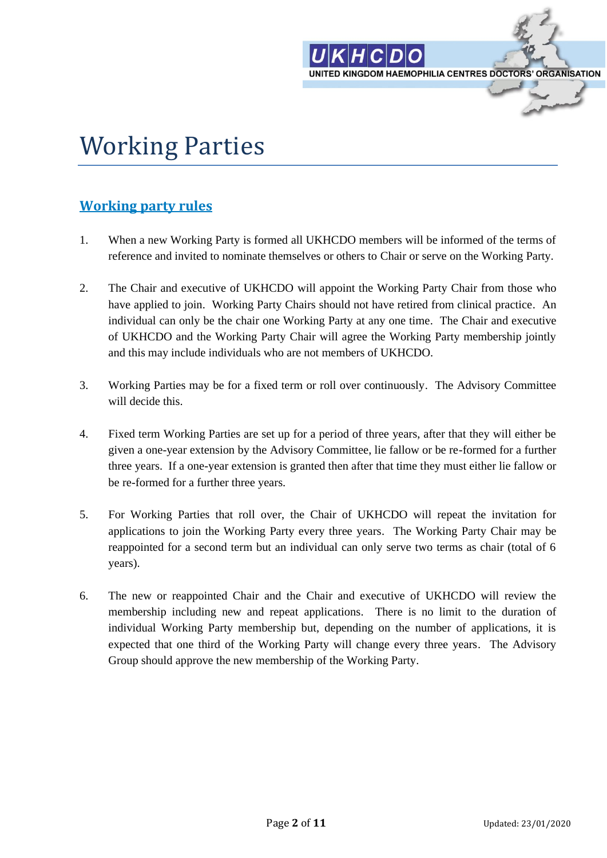

# Working Parties

### **Working party rules**

- 1. When a new Working Party is formed all UKHCDO members will be informed of the terms of reference and invited to nominate themselves or others to Chair or serve on the Working Party.
- 2. The Chair and executive of UKHCDO will appoint the Working Party Chair from those who have applied to join. Working Party Chairs should not have retired from clinical practice. An individual can only be the chair one Working Party at any one time. The Chair and executive of UKHCDO and the Working Party Chair will agree the Working Party membership jointly and this may include individuals who are not members of UKHCDO.
- 3. Working Parties may be for a fixed term or roll over continuously. The Advisory Committee will decide this.
- 4. Fixed term Working Parties are set up for a period of three years, after that they will either be given a one-year extension by the Advisory Committee, lie fallow or be re-formed for a further three years. If a one-year extension is granted then after that time they must either lie fallow or be re-formed for a further three years.
- 5. For Working Parties that roll over, the Chair of UKHCDO will repeat the invitation for applications to join the Working Party every three years. The Working Party Chair may be reappointed for a second term but an individual can only serve two terms as chair (total of 6 years).
- 6. The new or reappointed Chair and the Chair and executive of UKHCDO will review the membership including new and repeat applications. There is no limit to the duration of individual Working Party membership but, depending on the number of applications, it is expected that one third of the Working Party will change every three years. The Advisory Group should approve the new membership of the Working Party.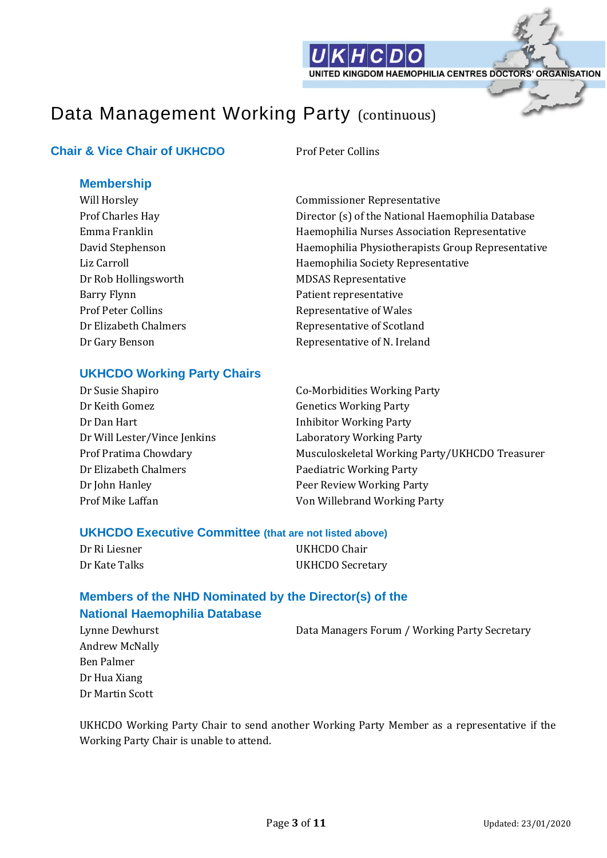

## Data Management Working Party (continuous)

### **Chair & Vice Chair of UKHCDO** Prof Peter Collins

#### **Membership**

Dr Rob Hollingsworth MDSAS Representative Barry Flynn **Patient representative** 

Will Horsley Commissioner Representative Prof Charles Hay **Director** (s) of the National Haemophilia Database Emma Franklin Haemophilia Nurses Association Representative David Stephenson Haemophilia Physiotherapists Group Representative Liz Carroll **Example 2** Haemophilia Society Representative Prof Peter Collins **Prof** Peter Collins **Representative of Wales** Dr Elizabeth Chalmers Representative of Scotland Dr Gary Benson Representative of N. Ireland

### **UKHCDO Working Party Chairs**

| Dr Susie Shapiro             | <b>Co-Morbidities Working Party</b>            |
|------------------------------|------------------------------------------------|
| Dr Keith Gomez               | <b>Genetics Working Party</b>                  |
| Dr Dan Hart                  | <b>Inhibitor Working Party</b>                 |
| Dr Will Lester/Vince Jenkins | Laboratory Working Party                       |
| Prof Pratima Chowdary        | Musculoskeletal Working Party/UKHCDO Treasurer |
| Dr Elizabeth Chalmers        | Paediatric Working Party                       |
| Dr John Hanley               | Peer Review Working Party                      |
| Prof Mike Laffan             | Von Willebrand Working Party                   |

#### **UKHCDO Executive Committee (that are not listed above)**

| Dr Ri Liesner | UKHCDO Chair     |  |
|---------------|------------------|--|
| Dr Kate Talks | UKHCDO Secretary |  |

### **Members of the NHD Nominated by the Director(s) of the National Haemophilia Database**

Lynne Dewhurst **Data Managers Forum / Working Party Secretary** Andrew McNally Ben Palmer Dr Hua Xiang Dr Martin Scott

UKHCDO Working Party Chair to send another Working Party Member as a representative if the Working Party Chair is unable to attend.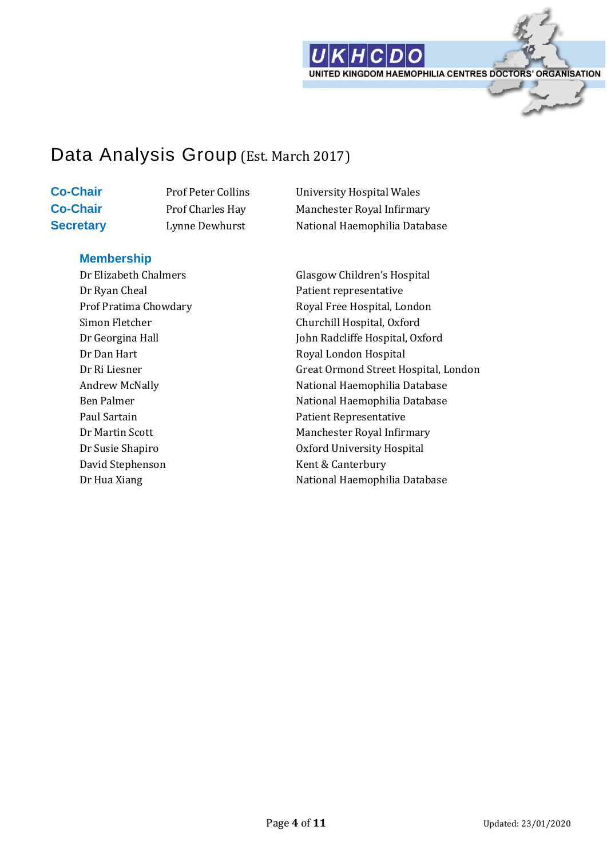

## Data Analysis Group (Est. March 2017)

**Co-Chair** Prof Peter Collins University Hospital Wales **Co-Chair** Prof Charles Hay Manchester Royal Infirmary **Secretary** Lynne Dewhurst **National Haemophilia Database** 

#### **Membership**

Dr Ryan Cheal Patient representative Dr Dan Hart Royal London Hospital Paul Sartain **Paul Sartain** Patient Representative David Stephenson Kent & Canterbury

Dr Elizabeth Chalmers Glasgow Children's Hospital Prof Pratima Chowdary Royal Free Hospital, London Simon Fletcher Churchill Hospital, Oxford Dr Georgina Hall John Radcliffe Hospital, Oxford Dr Ri Liesner Great Ormond Street Hospital, London Andrew McNally **National Haemophilia Database** Ben Palmer National Haemophilia Database Dr Martin Scott Manchester Royal Infirmary Dr Susie Shapiro Oxford University Hospital Dr Hua Xiang National Haemophilia Database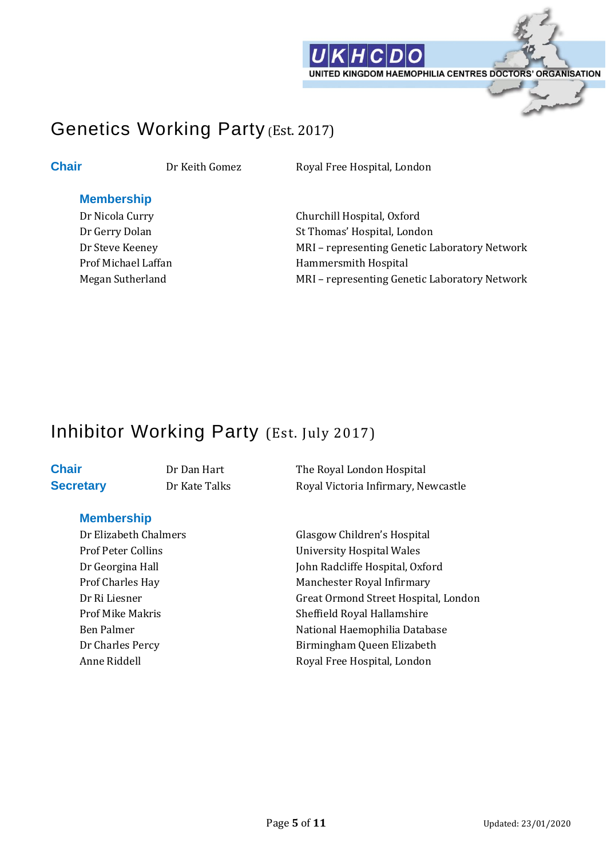

## Genetics Working Party (Est. 2017)

**Chair** Dr Keith Gomez Royal Free Hospital, London

#### **Membership**

Dr Nicola Curry Churchill Hospital, Oxford Dr Gerry Dolan St Thomas' Hospital, London Dr Steve Keeney MRI – representing Genetic Laboratory Network Prof Michael Laffan **Hammersmith Hospital** Megan Sutherland MRI – representing Genetic Laboratory Network

## Inhibitor Working Party (Est. July 2017)

### **Membership**

**Chair** Dr Dan Hart The Royal London Hospital **Secretary** Dr Kate Talks Royal Victoria Infirmary, Newcastle

Dr Elizabeth Chalmers Glasgow Children's Hospital Prof Peter Collins University Hospital Wales Dr Georgina Hall John Radcliffe Hospital, Oxford Prof Charles Hay Manchester Royal Infirmary Dr Ri Liesner Great Ormond Street Hospital, London Prof Mike Makris Sheffield Royal Hallamshire Ben Palmer National Haemophilia Database Dr Charles Percy Birmingham Queen Elizabeth Anne Riddell **Royal Free Hospital, London**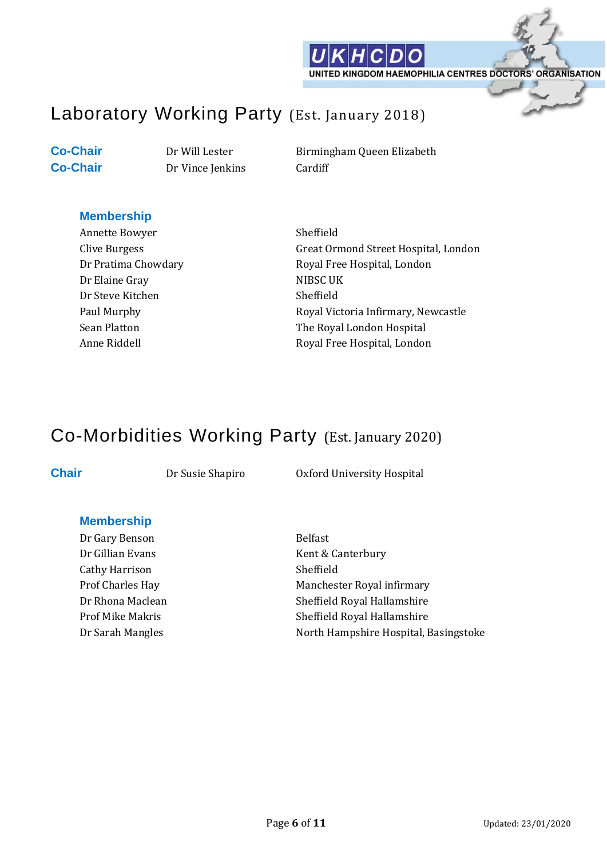

## Laboratory Working Party (Est. January 2018)

**Co-Chair** Dr Vince Jenkins Cardiff

**Co-Chair** Dr Will Lester Birmingham Queen Elizabeth

#### **Membership**

Annette Bowyer Sheffield Dr Elaine Gray NIBSC UK Dr Steve Kitchen Sheffield

Clive Burgess Great Ormond Street Hospital, London Dr Pratima Chowdary **Royal Free Hospital, London** Paul Murphy **Royal Victoria Infirmary, Newcastle** Sean Platton The Royal London Hospital Anne Riddell **Royal Free Hospital, London** 

## Co-Morbidities Working Party (Est. January 2020)

**Chair** Dr Susie Shapiro Dr Oxford University Hospital

#### **Membership**

Dr Gary Benson Belfast Cathy Harrison Sheffield

Dr Gillian Evans Kent & Canterbury Prof Charles Hay Manchester Royal infirmary Dr Rhona Maclean Sheffield Royal Hallamshire Prof Mike Makris Sheffield Royal Hallamshire Dr Sarah Mangles North Hampshire Hospital, Basingstoke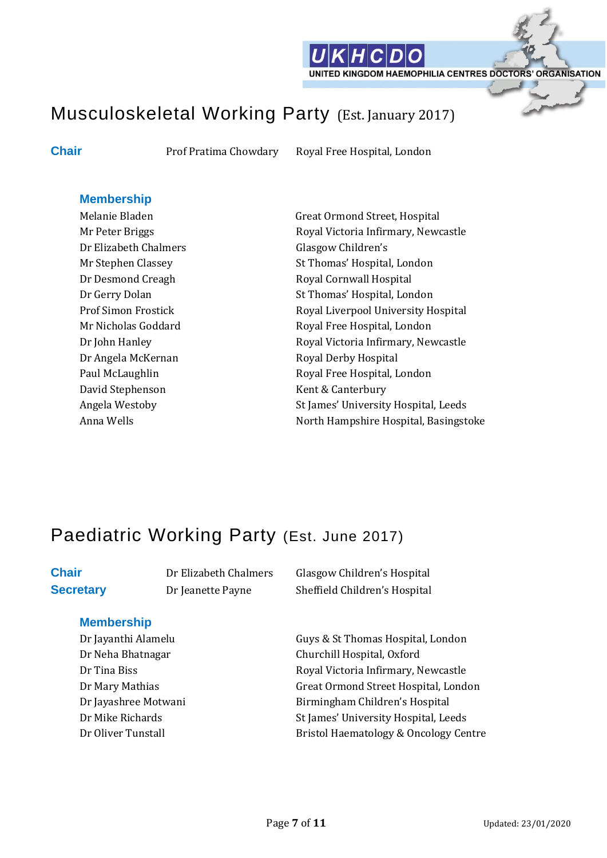

## Musculoskeletal Working Party (Est. January 2017)

**Chair** Prof Pratima Chowdary Royal Free Hospital, London

#### **Membership**

Dr Elizabeth Chalmers Glasgow Children's Dr Angela McKernan Royal Derby Hospital David Stephenson Kent & Canterbury

Melanie Bladen Great Ormond Street, Hospital Mr Peter Briggs **Royal Victoria Infirmary, Newcastle** Mr Stephen Classey St Thomas' Hospital, London Dr Desmond Creagh Royal Cornwall Hospital Dr Gerry Dolan St Thomas' Hospital, London Prof Simon Frostick Royal Liverpool University Hospital Mr Nicholas Goddard Royal Free Hospital, London Dr John Hanley **Royal Victoria Infirmary, Newcastle** Paul McLaughlin **Royal Free Hospital, London** Angela Westoby **Start Angela Westoby** St James' University Hospital, Leeds Anna Wells **Anna Wells** North Hampshire Hospital, Basingstoke

## Paediatric Working Party (Est. June 2017)

### **Membership**

**Chair** Dr Elizabeth Chalmers Glasgow Children's Hospital **Secretary** Dr Jeanette Payne Sheffield Children's Hospital

Dr Jayanthi Alamelu Guys & St Thomas Hospital, London Dr Neha Bhatnagar Churchill Hospital, Oxford Dr Tina Biss **Royal Victoria Infirmary, Newcastle** Dr Mary Mathias Great Ormond Street Hospital, London Dr Jayashree Motwani Birmingham Children's Hospital Dr Mike Richards St James' University Hospital, Leeds Dr Oliver Tunstall **Bristol Haematology & Oncology Centre**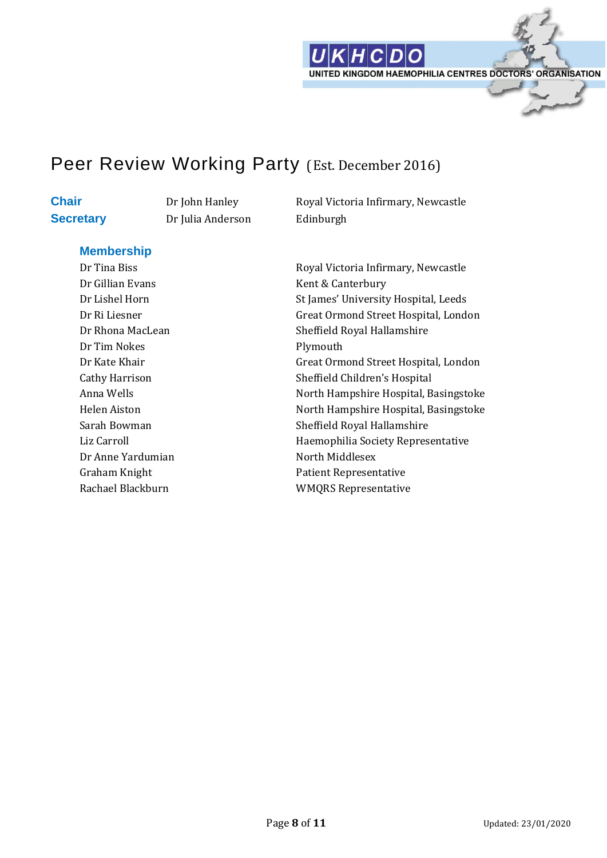

### Peer Review Working Party (Est. December 2016)

**Secretary** Dr Julia Anderson Edinburgh

**Chair** Dr John Hanley Royal Victoria Infirmary, Newcastle

#### **Membership**

Dr Gillian Evans Kent & Canterbury Dr Tim Nokes Plymouth Dr Anne Yardumian North Middlesex

Dr Tina Biss Royal Victoria Infirmary, Newcastle Dr Lishel Horn St James' University Hospital, Leeds Dr Ri Liesner Great Ormond Street Hospital, London Dr Rhona MacLean Sheffield Royal Hallamshire Dr Kate Khair Great Ormond Street Hospital, London Cathy Harrison Sheffield Children's Hospital Anna Wells **Anna Wells** North Hampshire Hospital, Basingstoke Helen Aiston North Hampshire Hospital, Basingstoke Sarah Bowman Sarah Bowman Sheffield Royal Hallamshire Liz Carroll **Example 2** Haemophilia Society Representative Graham Knight **Patient Representative** Rachael Blackburn WMQRS Representative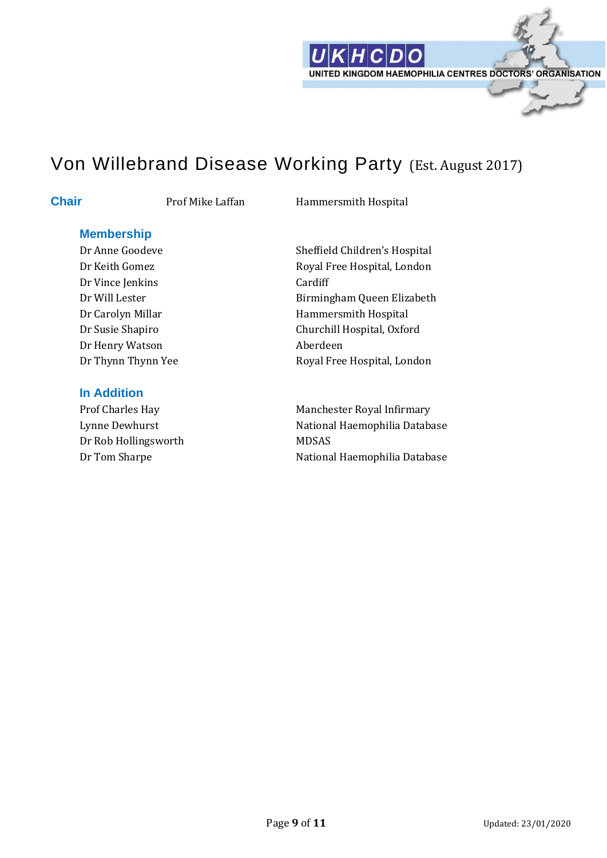

## Von Willebrand Disease Working Party (Est. August 2017)

**Chair** Prof Mike Laffan Hammersmith Hospital

#### **Membership**

Dr Vince Jenkins Cardiff Dr Henry Watson **Aberdeen** 

#### **In Addition**

Dr Rob Hollingsworth MDSAS

Dr Anne Goodeve Sheffield Children's Hospital Dr Keith Gomez Royal Free Hospital, London Dr Will Lester **Birmingham Queen Elizabeth** Dr Carolyn Millar Hammersmith Hospital Dr Susie Shapiro Churchill Hospital, Oxford Dr Thynn Thynn Yee Royal Free Hospital, London

Prof Charles Hay Manchester Royal Infirmary Lynne Dewhurst National Haemophilia Database Dr Tom Sharpe National Haemophilia Database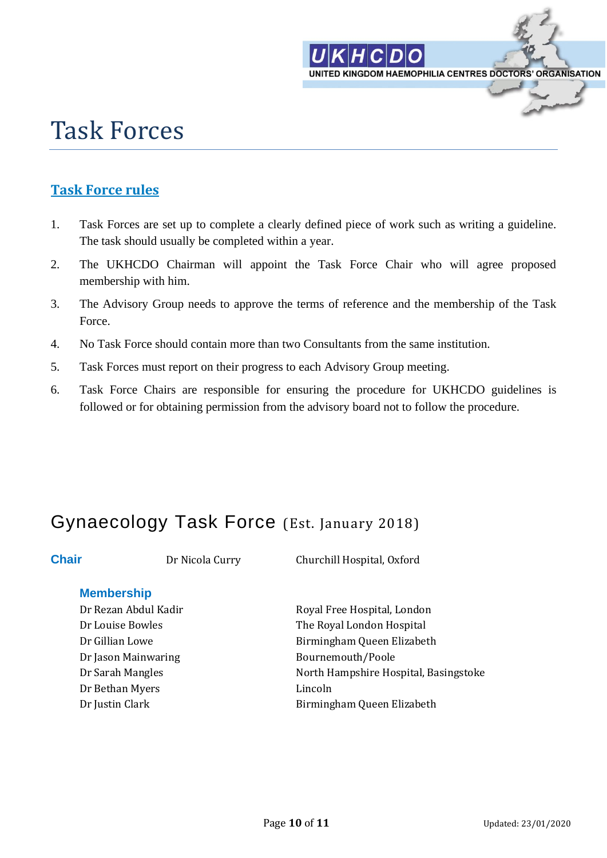

# Task Forces

### **Task Force rules**

- 1. Task Forces are set up to complete a clearly defined piece of work such as writing a guideline. The task should usually be completed within a year.
- 2. The UKHCDO Chairman will appoint the Task Force Chair who will agree proposed membership with him.
- 3. The Advisory Group needs to approve the terms of reference and the membership of the Task Force.
- 4. No Task Force should contain more than two Consultants from the same institution.
- 5. Task Forces must report on their progress to each Advisory Group meeting.
- 6. Task Force Chairs are responsible for ensuring the procedure for UKHCDO guidelines is followed or for obtaining permission from the advisory board not to follow the procedure.

## Gynaecology Task Force (Est. January 2018)

**Chair** Dr Nicola Curry Churchill Hospital, Oxford

### **Membership**

Dr Rezan Abdul Kadir **Royal Free Hospital, London** Dr Louise Bowles The Royal London Hospital Dr Jason Mainwaring **Bournemouth/Poole** Dr Bethan Myers Lincoln

Dr Gillian Lowe Birmingham Queen Elizabeth Dr Sarah Mangles North Hampshire Hospital, Basingstoke Dr Justin Clark **Birmingham Queen Elizabeth**